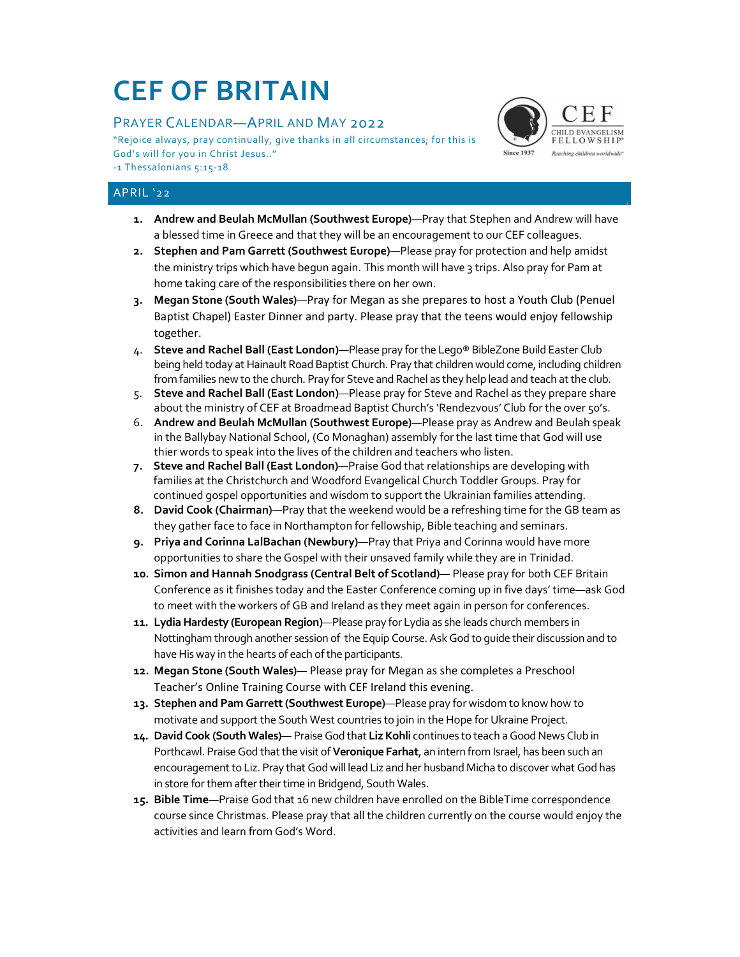# CEF OF BRITAIN

# PRAYER CALENDAR—APRIL AND MAY 2022

"Rejoice always, pray continually, give thanks in all circumstances; for this is FELLOWSHIP God's will for you in Christ Jesus.."

-1 Thessalonians 5:15-18

## APRIL '22

- 1. Andrew and Beulah McMullan (Southwest Europe)—Pray that Stephen and Andrew will have a blessed time in Greece and that they will be an encouragement to our CEF colleagues.
- 2. Stephen and Pam Garrett (Southwest Europe)—Please pray for protection and help amidst the ministry trips which have begun again. This month will have 3 trips. Also pray for Pam at home taking care of the responsibilities there on her own.
- 3. Megan Stone (South Wales)—Pray for Megan as she prepares to host a Youth Club (Penuel Baptist Chapel) Easter Dinner and party. Please pray that the teens would enjoy fellowship together.
- 4. Steve and Rachel Ball (East London)—Please pray for the Lego® BibleZone Build Easter Club being held today at Hainault Road Baptist Church. Pray that children would come, including children from families new to the church. Pray for Steve and Rachel as they help lead and teach at the club.
- 5. Steve and Rachel Ball (East London)—Please pray for Steve and Rachel as they prepare share about the ministry of CEF at Broadmead Baptist Church's 'Rendezvous' Club for the over 50's.
- 6. Andrew and Beulah McMullan (Southwest Europe)—Please pray as Andrew and Beulah speak in the Ballybay National School, (Co Monaghan) assembly for the last time that God will use thier words to speak into the lives of the children and teachers who listen.
- 7. Steve and Rachel Ball (East London)—Praise God that relationships are developing with families at the Christchurch and Woodford Evangelical Church Toddler Groups. Pray for continued gospel opportunities and wisdom to support the Ukrainian families attending.
- 8. David Cook (Chairman)—Pray that the weekend would be a refreshing time for the GB team as they gather face to face in Northampton for fellowship, Bible teaching and seminars.
- 9. Priya and Corinna LalBachan (Newbury)—Pray that Priya and Corinna would have more opportunities to share the Gospel with their unsaved family while they are in Trinidad.
- 10. Simon and Hannah Snodgrass (Central Belt of Scotland)— Please pray for both CEF Britain Conference as it finishes today and the Easter Conference coming up in five days' time—ask God to meet with the workers of GB and Ireland as they meet again in person for conferences.
- 11. Lydia Hardesty (European Region)—Please pray for Lydia as she leads church members in Nottingham through another session of the Equip Course. Ask God to guide their discussion and to have His way in the hearts of each of the participants.
- 12. Megan Stone (South Wales)— Please pray for Megan as she completes a Preschool Teacher's Online Training Course with CEF Ireland this evening.
- 13. Stephen and Pam Garrett (Southwest Europe)—Please pray for wisdom to know how to motivate and support the South West countries to join in the Hope for Ukraine Project.
- 14. David Cook (South Wales)— Praise God that Liz Kohli continues to teach a Good News Club in Porthcawl. Praise God that the visit of Veronique Farhat, an intern from Israel, has been such an encouragement to Liz. Pray that God will lead Liz and her husband Micha to discover what God has in store for them after their time in Bridgend, South Wales.
- 15. Bible Time—Praise God that 16 new children have enrolled on the BibleTime correspondence course since Christmas. Please pray that all the children currently on the course would enjoy the activities and learn from God's Word.

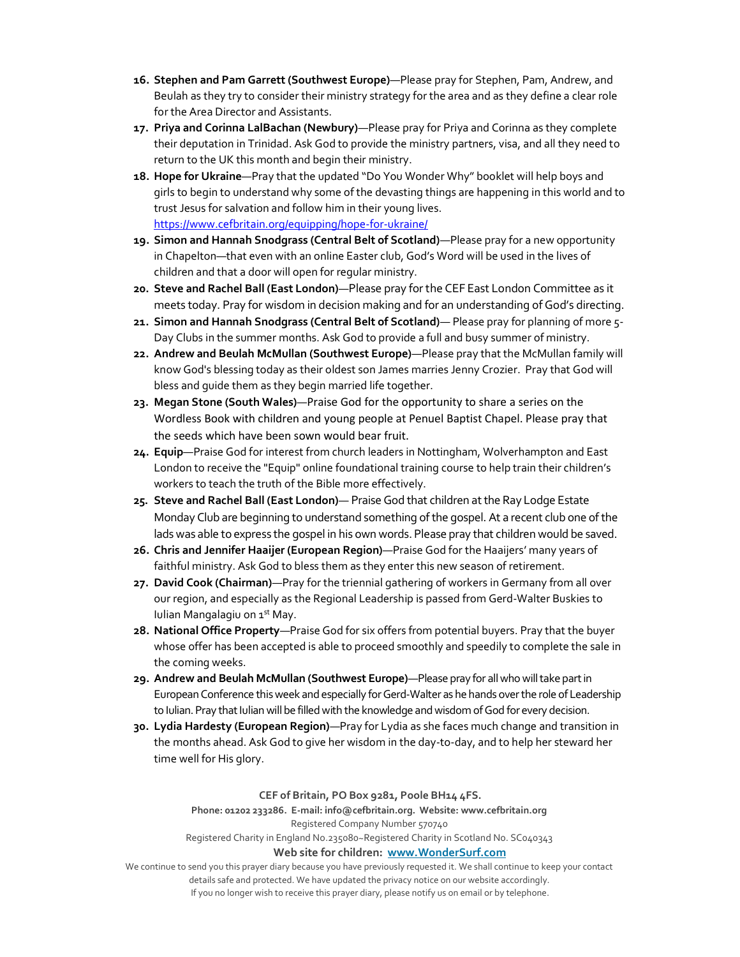- 16. Stephen and Pam Garrett (Southwest Europe)—Please pray for Stephen, Pam, Andrew, and Beulah as they try to consider their ministry strategy for the area and as they define a clear role for the Area Director and Assistants.
- 17. Priya and Corinna LalBachan (Newbury)—Please pray for Priya and Corinna as they complete their deputation in Trinidad. Ask God to provide the ministry partners, visa, and all they need to return to the UK this month and begin their ministry.
- 18. Hope for Ukraine—Pray that the updated "Do You Wonder Why" booklet will help boys and girls to begin to understand why some of the devasting things are happening in this world and to trust Jesus for salvation and follow him in their young lives. https://www.cefbritain.org/equipping/hope-for-ukraine/
- 19. Simon and Hannah Snodgrass (Central Belt of Scotland)—Please pray for a new opportunity in Chapelton—that even with an online Easter club, God's Word will be used in the lives of children and that a door will open for regular ministry.
- 20. Steve and Rachel Ball (East London)—Please pray for the CEF East London Committee as it meets today. Pray for wisdom in decision making and for an understanding of God's directing.
- 21. Simon and Hannah Snodgrass (Central Belt of Scotland)— Please pray for planning of more 5-Day Clubs in the summer months. Ask God to provide a full and busy summer of ministry.
- 22. Andrew and Beulah McMullan (Southwest Europe)—Please pray that the McMullan family will know God's blessing today as their oldest son James marries Jenny Crozier. Pray that God will bless and guide them as they begin married life together.
- 23. Megan Stone (South Wales)—Praise God for the opportunity to share a series on the Wordless Book with children and young people at Penuel Baptist Chapel. Please pray that the seeds which have been sown would bear fruit.
- 24. Equip—Praise God for interest from church leaders in Nottingham, Wolverhampton and East London to receive the "Equip" online foundational training course to help train their children's workers to teach the truth of the Bible more effectively.
- 25. Steve and Rachel Ball (East London)— Praise God that children at the Ray Lodge Estate Monday Club are beginning to understand something of the gospel. At a recent club one of the lads was able to express the gospel in his own words. Please pray that children would be saved.
- 26. Chris and Jennifer Haaijer (European Region)—Praise God for the Haaijers' many years of faithful ministry. Ask God to bless them as they enter this new season of retirement.
- 27. David Cook (Chairman)—Pray for the triennial gathering of workers in Germany from all over our region, and especially as the Regional Leadership is passed from Gerd-Walter Buskies to Iulian Mangalagiu on 1<sup>st</sup> May.
- 28. National Office Property-Praise God for six offers from potential buyers. Pray that the buyer whose offer has been accepted is able to proceed smoothly and speedily to complete the sale in the coming weeks.
- 29. Andrew and Beulah McMullan (Southwest Europe)—Please pray for all who will take part in European Conference this week and especially for Gerd-Walter as he hands over the role of Leadership to Iulian. Pray that Iulian will be filled with the knowledge and wisdom of God for every decision.
- 30. Lydia Hardesty (European Region)—Pray for Lydia as she faces much change and transition in the months ahead. Ask God to give her wisdom in the day-to-day, and to help her steward her time well for His glory.

#### CEF of Britain, PO Box 9281, Poole BH14 4FS.

Phone: 01202 233286. E-mail: info@cefbritain.org. Website: www.cefbritain.org Registered Company Number 570740

# Registered Charity in England No.235080~Registered Charity in Scotland No. SC040343

#### Web site for children: www.WonderSurf.com

We continue to send you this prayer diary because you have previously requested it. We shall continue to keep your contact details safe and protected. We have updated the privacy notice on our website accordingly. If you no longer wish to receive this prayer diary, please notify us on email or by telephone.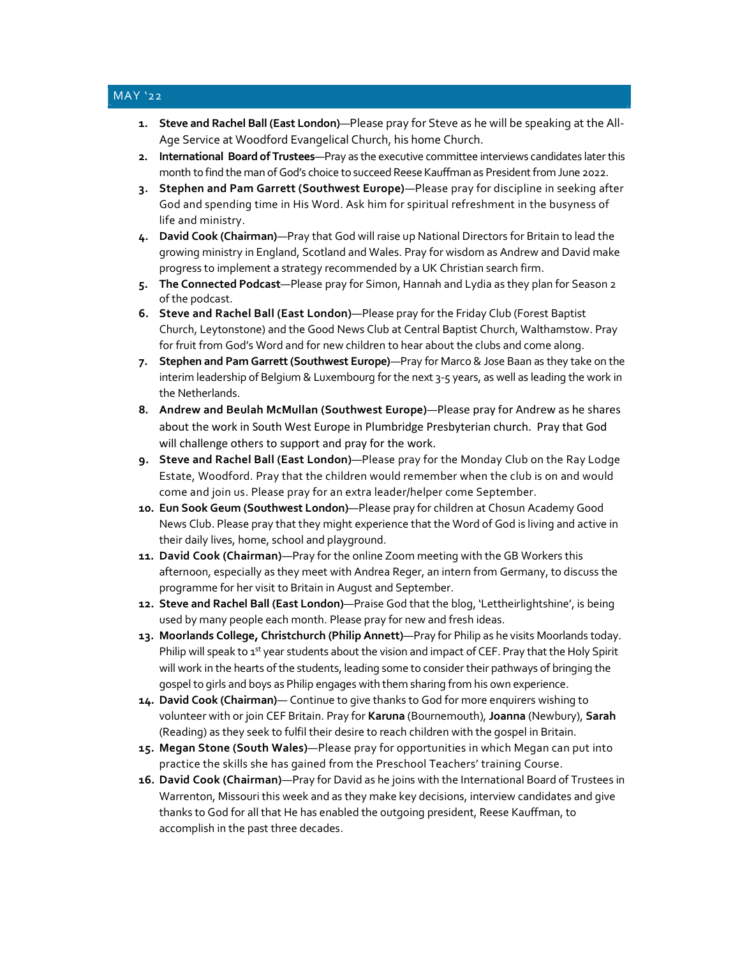### MAY '22

- 1. Steve and Rachel Ball (East London)—Please pray for Steve as he will be speaking at the All-Age Service at Woodford Evangelical Church, his home Church.
- 2. International Board of Trustees—Pray as the executive committee interviews candidates later this month to find the man of God's choice to succeed Reese Kauffman as President from June 2022.
- 3. Stephen and Pam Garrett (Southwest Europe)—Please pray for discipline in seeking after God and spending time in His Word. Ask him for spiritual refreshment in the busyness of life and ministry.
- 4. David Cook (Chairman)—Pray that God will raise up National Directors for Britain to lead the growing ministry in England, Scotland and Wales. Pray for wisdom as Andrew and David make progress to implement a strategy recommended by a UK Christian search firm.
- 5. The Connected Podcast—Please pray for Simon, Hannah and Lydia as they plan for Season 2 of the podcast.
- 6. Steve and Rachel Ball (East London)—Please pray for the Friday Club (Forest Baptist Church, Leytonstone) and the Good News Club at Central Baptist Church, Walthamstow. Pray for fruit from God's Word and for new children to hear about the clubs and come along.
- 7. Stephen and Pam Garrett (Southwest Europe)—Pray for Marco & Jose Baan as they take on the interim leadership of Belgium & Luxembourg for the next 3-5 years, as well as leading the work in the Netherlands.
- 8. Andrew and Beulah McMullan (Southwest Europe)—Please pray for Andrew as he shares about the work in South West Europe in Plumbridge Presbyterian church. Pray that God will challenge others to support and pray for the work.
- 9. Steve and Rachel Ball (East London)—Please pray for the Monday Club on the Ray Lodge Estate, Woodford. Pray that the children would remember when the club is on and would come and join us. Please pray for an extra leader/helper come September.
- 10. Eun Sook Geum (Southwest London)—Please pray for children at Chosun Academy Good News Club. Please pray that they might experience that the Word of God is living and active in their daily lives, home, school and playground.
- 11. David Cook (Chairman)—Pray for the online Zoom meeting with the GB Workers this afternoon, especially as they meet with Andrea Reger, an intern from Germany, to discuss the programme for her visit to Britain in August and September.
- 12. Steve and Rachel Ball (East London)—Praise God that the blog, 'Lettheirlightshine', is being used by many people each month. Please pray for new and fresh ideas.
- 13. Moorlands College, Christchurch (Philip Annett)—Pray for Philip as he visits Moorlands today. Philip will speak to 1<sup>st</sup> year students about the vision and impact of CEF. Pray that the Holy Spirit will work in the hearts of the students, leading some to consider their pathways of bringing the gospel to girls and boys as Philip engages with them sharing from his own experience.
- 14. David Cook (Chairman)— Continue to give thanks to God for more enquirers wishing to volunteer with or join CEF Britain. Pray for Karuna (Bournemouth), Joanna (Newbury), Sarah (Reading) as they seek to fulfil their desire to reach children with the gospel in Britain.
- 15. Megan Stone (South Wales)—Please pray for opportunities in which Megan can put into practice the skills she has gained from the Preschool Teachers' training Course.
- 16. David Cook (Chairman)—Pray for David as he joins with the International Board of Trustees in Warrenton, Missouri this week and as they make key decisions, interview candidates and give thanks to God for all that He has enabled the outgoing president, Reese Kauffman, to accomplish in the past three decades.